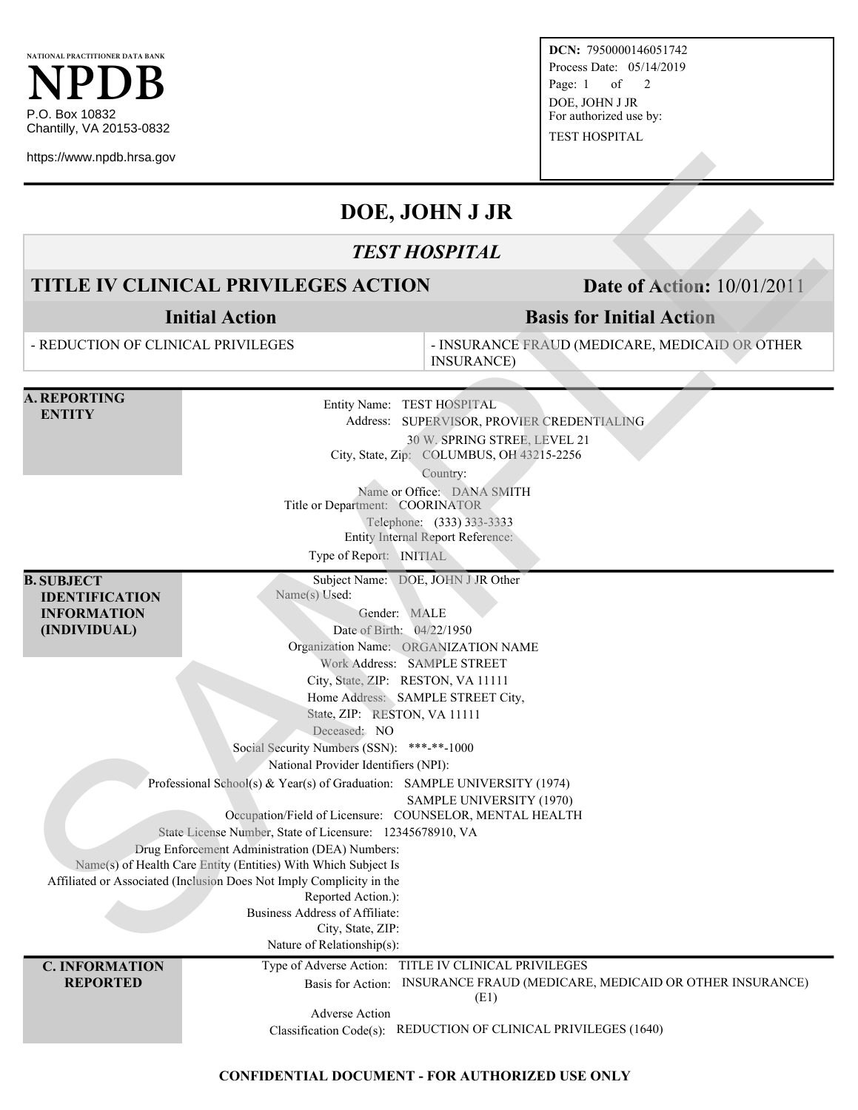

**DCN:** 7950000146051742 Process Date: 05/14/2019 Page: 1 of 2 DOE, JOHN J JR For authorized use by: TEST HOSPITAL

## **DOE, JOHN J JR**

### *TEST HOSPITAL*

## **TITLE IV CLINICAL PRIVILEGES ACTION Date of Action:** 10/01/2011

# **Basis for Initial Action**

| https://www.npdb.hrsa.gov                                                        |                                                                                                                                                                                                                                                                                                                                                                                                                                                                                                         |                                                                                                                                            |  |
|----------------------------------------------------------------------------------|---------------------------------------------------------------------------------------------------------------------------------------------------------------------------------------------------------------------------------------------------------------------------------------------------------------------------------------------------------------------------------------------------------------------------------------------------------------------------------------------------------|--------------------------------------------------------------------------------------------------------------------------------------------|--|
|                                                                                  |                                                                                                                                                                                                                                                                                                                                                                                                                                                                                                         | DOE, JOHN J JR                                                                                                                             |  |
|                                                                                  |                                                                                                                                                                                                                                                                                                                                                                                                                                                                                                         | <b>TEST HOSPITAL</b>                                                                                                                       |  |
| <b>TITLE IV CLINICAL PRIVILEGES ACTION</b>                                       |                                                                                                                                                                                                                                                                                                                                                                                                                                                                                                         | <b>Date of Action: 10/01/2011</b>                                                                                                          |  |
| <b>Initial Action</b>                                                            |                                                                                                                                                                                                                                                                                                                                                                                                                                                                                                         | <b>Basis for Initial Action</b>                                                                                                            |  |
| - REDUCTION OF CLINICAL PRIVILEGES                                               |                                                                                                                                                                                                                                                                                                                                                                                                                                                                                                         | - INSURANCE FRAUD (MEDICARE, MEDICAID OR OTHER<br><b>INSURANCE</b> )                                                                       |  |
| <b>A. REPORTING</b><br><b>ENTITY</b>                                             | Entity Name: TEST HOSPITAL<br>Address: SUPERVISOR, PROVIER CREDENTIALING<br>30 W. SPRING STREE, LEVEL 21<br>City, State, Zip: COLUMBUS, OH 43215-2256<br>Country:                                                                                                                                                                                                                                                                                                                                       |                                                                                                                                            |  |
|                                                                                  | Title or Department: COORINATOR<br>Type of Report: INITIAL                                                                                                                                                                                                                                                                                                                                                                                                                                              | Name or Office: DANA SMITH<br>Telephone: (333) 333-3333<br><b>Entity Internal Report Reference:</b>                                        |  |
| <b>B. SUBJECT</b><br><b>IDENTIFICATION</b><br><b>INFORMATION</b><br>(INDIVIDUAL) | Subject Name: DOE, JOHN J JR Other<br>Name(s) Used:<br>Gender: MALE<br>Date of Birth: 04/22/1950<br>Organization Name: ORGANIZATION NAME<br>Work Address: SAMPLE STREET                                                                                                                                                                                                                                                                                                                                 |                                                                                                                                            |  |
|                                                                                  | City, State, ZIP: RESTON, VA 11111<br>Home Address: SAMPLE STREET City,<br>State, ZIP: RESTON, VA 11111<br>Deceased: NO<br>Social Security Numbers (SSN): ***-**-1000<br>National Provider Identifiers (NPI):                                                                                                                                                                                                                                                                                           |                                                                                                                                            |  |
|                                                                                  | Professional School(s) & Year(s) of Graduation: SAMPLE UNIVERSITY (1974)<br>Occupation/Field of Licensure: COUNSELOR, MENTAL HEALTH<br>State License Number, State of Licensure: 12345678910, VA<br>Drug Enforcement Administration (DEA) Numbers:<br>Name(s) of Health Care Entity (Entities) With Which Subject Is<br>Affiliated or Associated (Inclusion Does Not Imply Complicity in the<br>Reported Action.):<br>Business Address of Affiliate:<br>City, State, ZIP:<br>Nature of Relationship(s): | SAMPLE UNIVERSITY (1970)                                                                                                                   |  |
| <b>C. INFORMATION</b><br><b>REPORTED</b>                                         | Type of Adverse Action:<br>Basis for Action:<br><b>Adverse Action</b><br>Classification Code(s):                                                                                                                                                                                                                                                                                                                                                                                                        | TITLE IV CLINICAL PRIVILEGES<br>INSURANCE FRAUD (MEDICARE, MEDICAID OR OTHER INSURANCE)<br>(E1)<br>REDUCTION OF CLINICAL PRIVILEGES (1640) |  |

### **CONFIDENTIAL DOCUMENT - FOR AUTHORIZED USE ONLY**